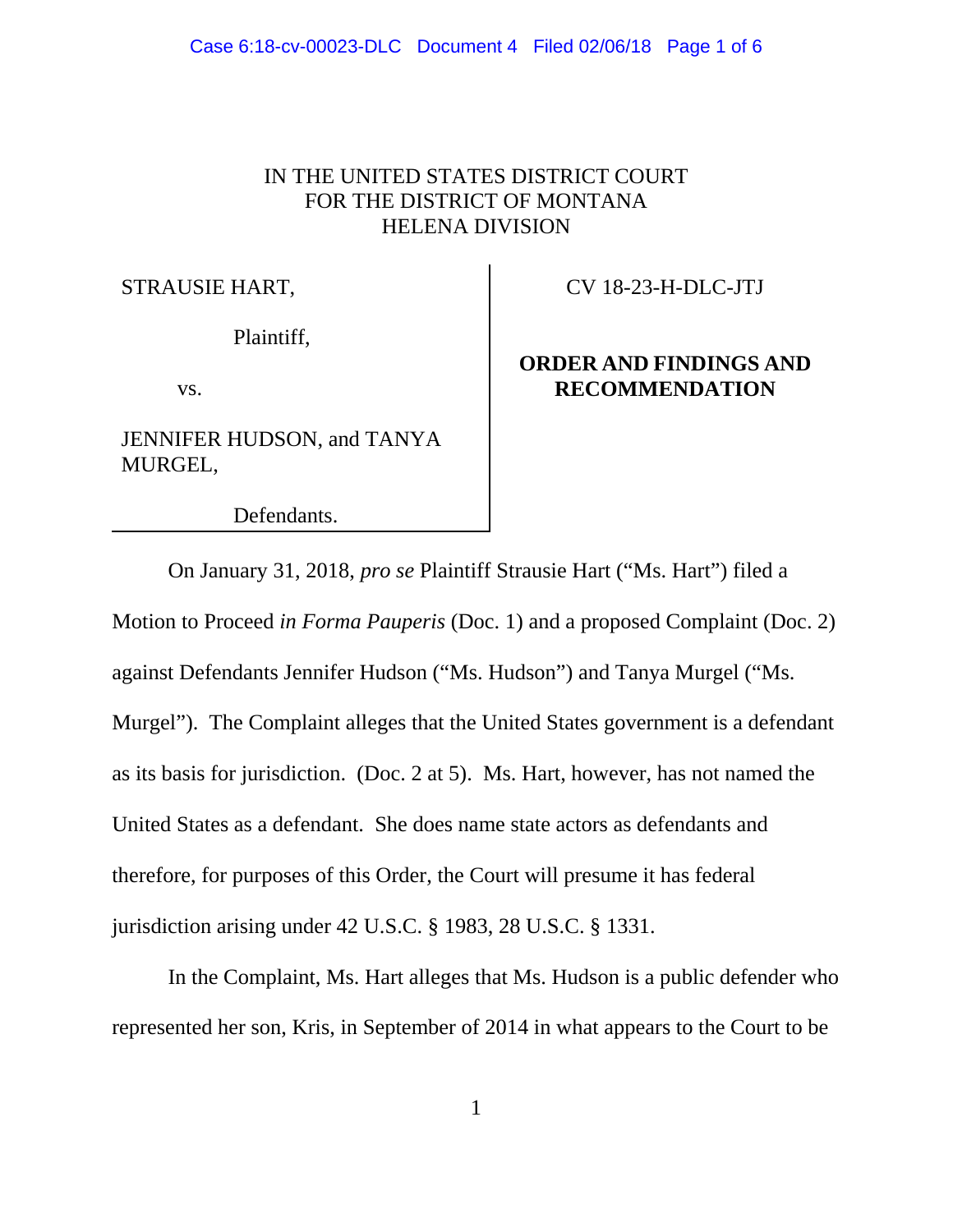# IN THE UNITED STATES DISTRICT COURT FOR THE DISTRICT OF MONTANA HELENA DIVISION

### STRAUSIE HART,

Plaintiff,

vs.

JENNIFER HUDSON, and TANYA MURGEL,

Defendants.

## CV 18-23-H-DLC-JTJ

# **ORDER AND FINDINGS AND RECOMMENDATION**

On January 31, 2018, *pro se* Plaintiff Strausie Hart ("Ms. Hart") filed a Motion to Proceed *in Forma Pauperis* (Doc. 1) and a proposed Complaint (Doc. 2) against Defendants Jennifer Hudson ("Ms. Hudson") and Tanya Murgel ("Ms. Murgel"). The Complaint alleges that the United States government is a defendant as its basis for jurisdiction. (Doc. 2 at 5). Ms. Hart, however, has not named the United States as a defendant. She does name state actors as defendants and therefore, for purposes of this Order, the Court will presume it has federal jurisdiction arising under 42 U.S.C. § 1983, 28 U.S.C. § 1331.

In the Complaint, Ms. Hart alleges that Ms. Hudson is a public defender who represented her son, Kris, in September of 2014 in what appears to the Court to be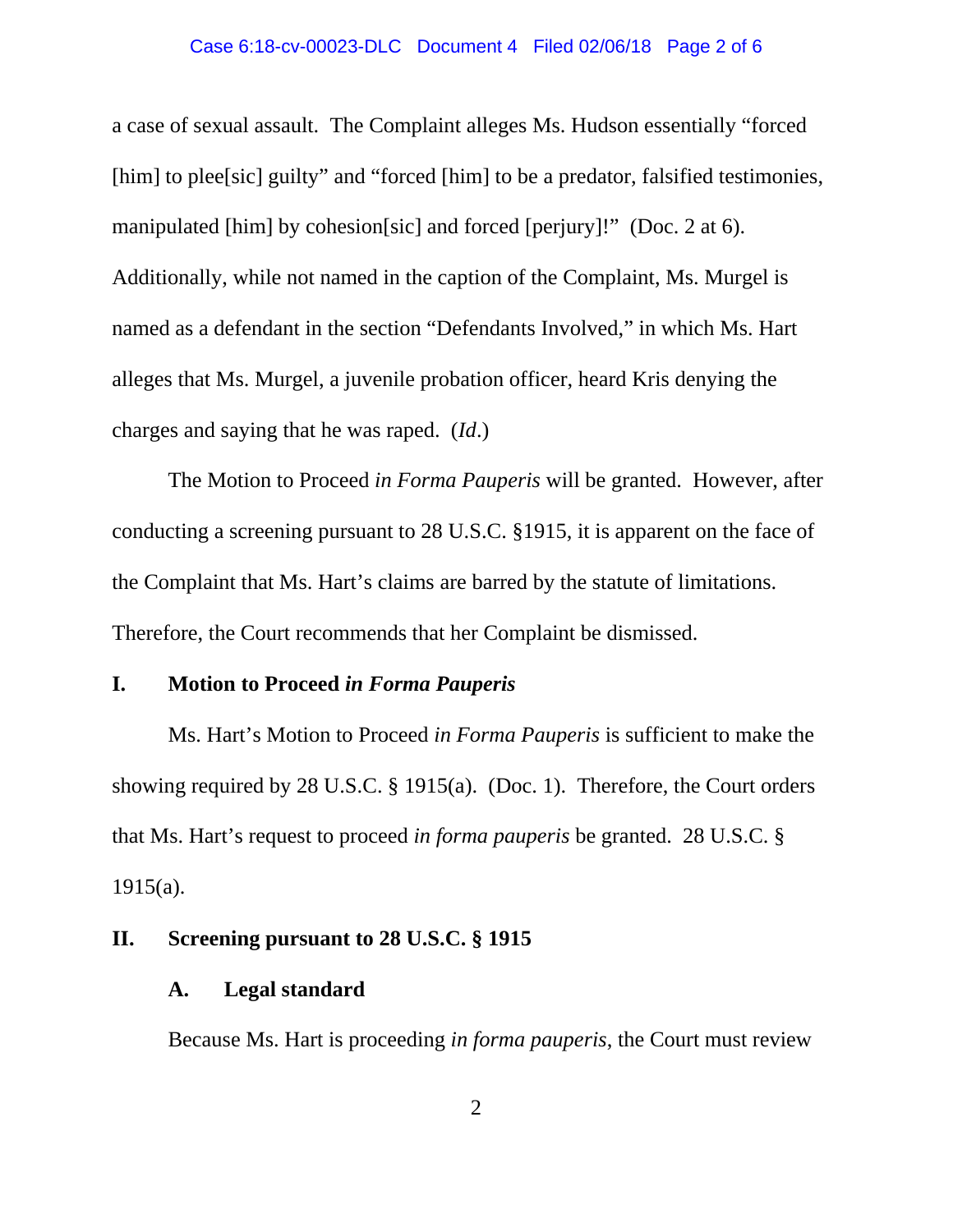### Case 6:18-cv-00023-DLC Document 4 Filed 02/06/18 Page 2 of 6

a case of sexual assault. The Complaint alleges Ms. Hudson essentially "forced [him] to plee[sic] guilty" and "forced [him] to be a predator, falsified testimonies, manipulated [him] by cohesion[sic] and forced [perjury]!" (Doc. 2 at 6). Additionally, while not named in the caption of the Complaint, Ms. Murgel is named as a defendant in the section "Defendants Involved," in which Ms. Hart alleges that Ms. Murgel, a juvenile probation officer, heard Kris denying the charges and saying that he was raped. (*Id*.)

The Motion to Proceed *in Forma Pauperis* will be granted. However, after conducting a screening pursuant to 28 U.S.C. §1915, it is apparent on the face of the Complaint that Ms. Hart's claims are barred by the statute of limitations. Therefore, the Court recommends that her Complaint be dismissed.

## **I. Motion to Proceed** *in Forma Pauperis*

Ms. Hart's Motion to Proceed *in Forma Pauperis* is sufficient to make the showing required by 28 U.S.C. § 1915(a). (Doc. 1). Therefore, the Court orders that Ms. Hart's request to proceed *in forma pauperis* be granted. 28 U.S.C. §  $1915(a)$ .

## **II. Screening pursuant to 28 U.S.C. § 1915**

## **A. Legal standard**

Because Ms. Hart is proceeding *in forma pauperis*, the Court must review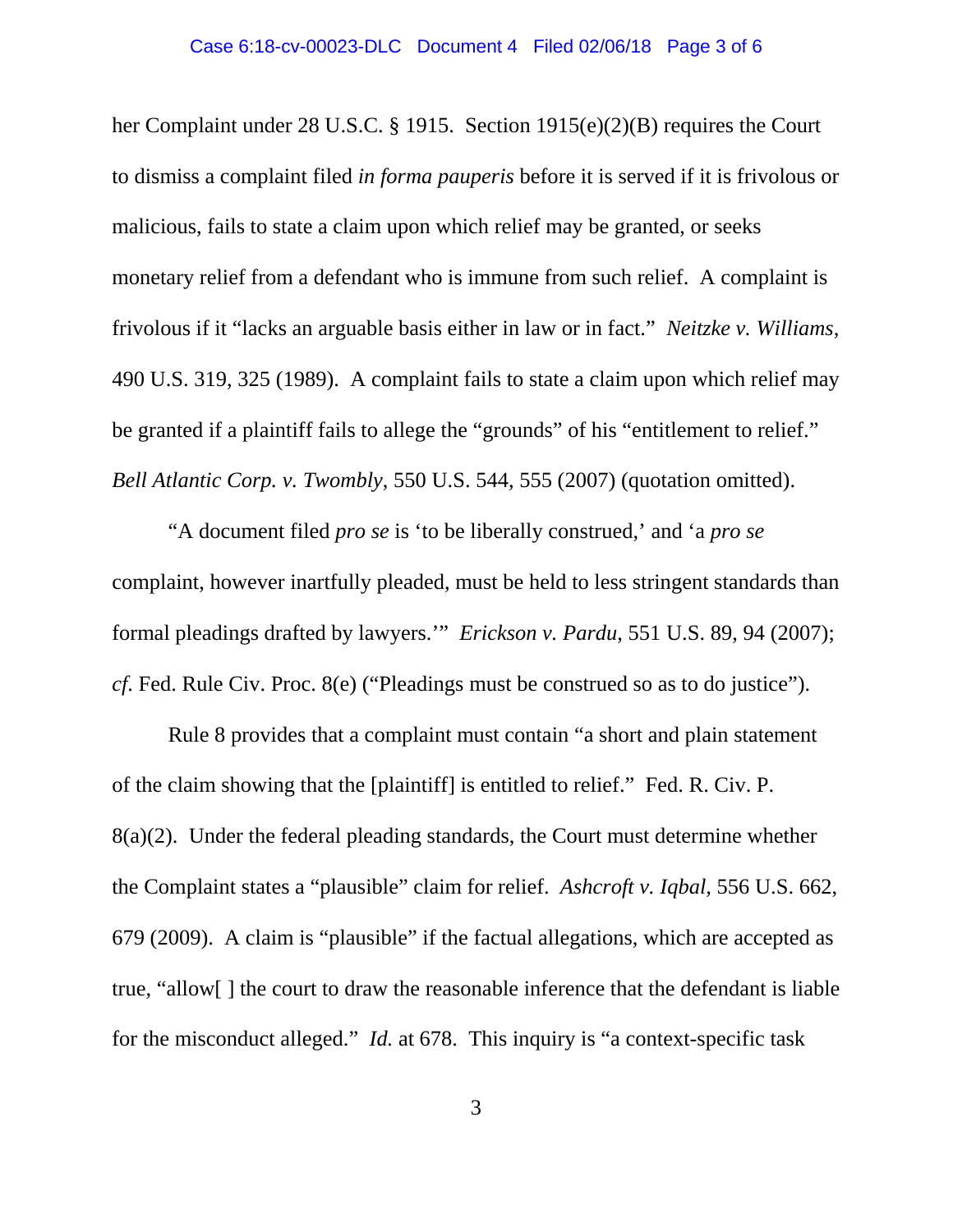her Complaint under 28 U.S.C. § 1915. Section 1915(e)(2)(B) requires the Court to dismiss a complaint filed *in forma pauperis* before it is served if it is frivolous or malicious, fails to state a claim upon which relief may be granted, or seeks monetary relief from a defendant who is immune from such relief. A complaint is frivolous if it "lacks an arguable basis either in law or in fact." *Neitzke v. Williams*, 490 U.S. 319, 325 (1989). A complaint fails to state a claim upon which relief may be granted if a plaintiff fails to allege the "grounds" of his "entitlement to relief." *Bell Atlantic Corp. v. Twombly*, 550 U.S. 544, 555 (2007) (quotation omitted).

"A document filed *pro se* is 'to be liberally construed,' and 'a *pro se* complaint, however inartfully pleaded, must be held to less stringent standards than formal pleadings drafted by lawyers.'" *Erickson v. Pardu*, 551 U.S. 89, 94 (2007); *cf*. Fed. Rule Civ. Proc. 8(e) ("Pleadings must be construed so as to do justice").

Rule 8 provides that a complaint must contain "a short and plain statement of the claim showing that the [plaintiff] is entitled to relief." Fed. R. Civ. P. 8(a)(2). Under the federal pleading standards, the Court must determine whether the Complaint states a "plausible" claim for relief. *Ashcroft v. Iqbal*, 556 U.S. 662, 679 (2009). A claim is "plausible" if the factual allegations, which are accepted as true, "allow[ ] the court to draw the reasonable inference that the defendant is liable for the misconduct alleged." *Id.* at 678. This inquiry is "a context-specific task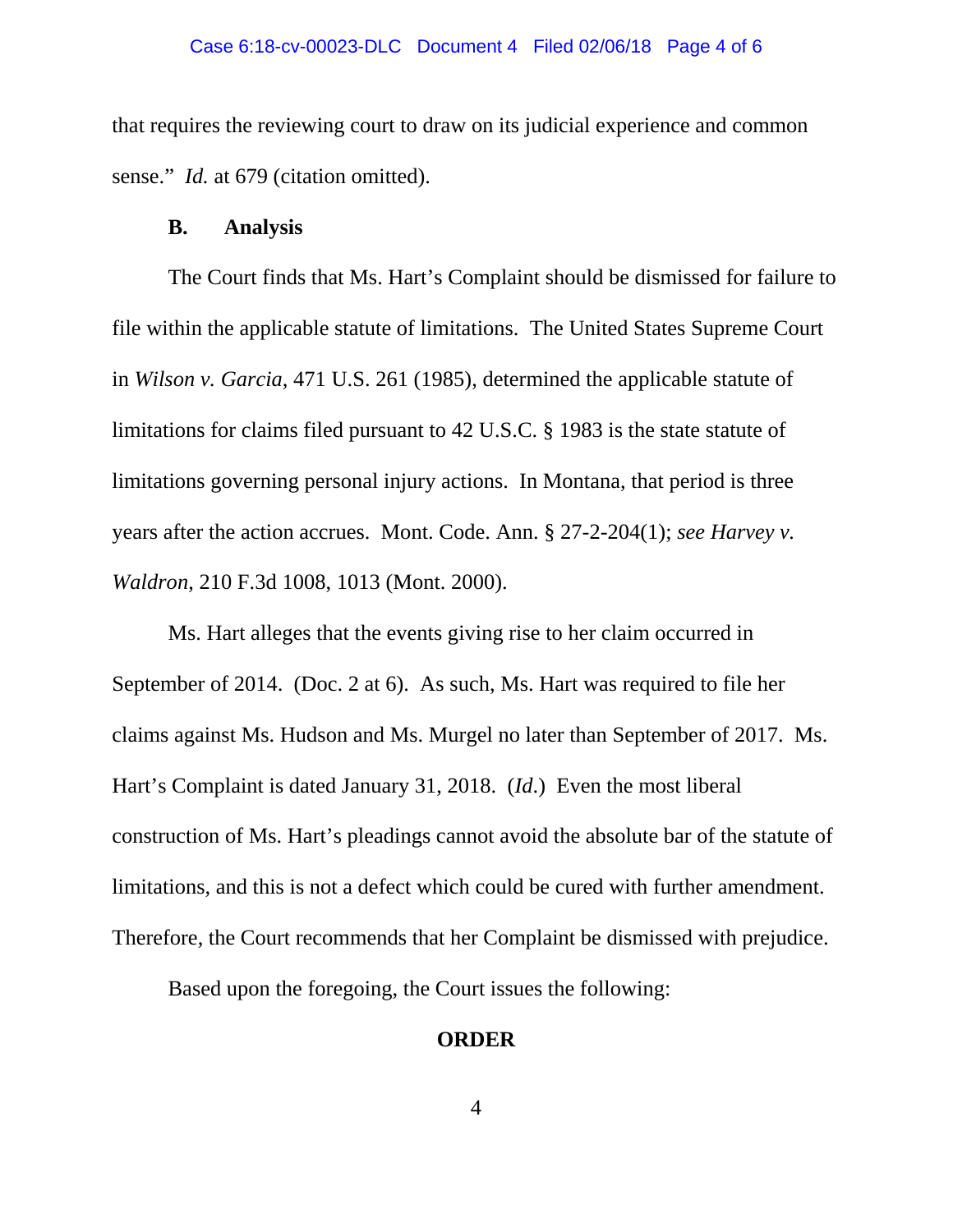that requires the reviewing court to draw on its judicial experience and common sense." *Id.* at 679 (citation omitted).

#### **B. Analysis**

The Court finds that Ms. Hart's Complaint should be dismissed for failure to file within the applicable statute of limitations. The United States Supreme Court in *Wilson v. Garcia*, 471 U.S. 261 (1985), determined the applicable statute of limitations for claims filed pursuant to 42 U.S.C. § 1983 is the state statute of limitations governing personal injury actions. In Montana, that period is three years after the action accrues. Mont. Code. Ann. § 27-2-204(1); *see Harvey v. Waldron*, 210 F.3d 1008, 1013 (Mont. 2000).

Ms. Hart alleges that the events giving rise to her claim occurred in September of 2014. (Doc. 2 at 6). As such, Ms. Hart was required to file her claims against Ms. Hudson and Ms. Murgel no later than September of 2017. Ms. Hart's Complaint is dated January 31, 2018. (*Id*.) Even the most liberal construction of Ms. Hart's pleadings cannot avoid the absolute bar of the statute of limitations, and this is not a defect which could be cured with further amendment. Therefore, the Court recommends that her Complaint be dismissed with prejudice.

Based upon the foregoing, the Court issues the following:

#### **ORDER**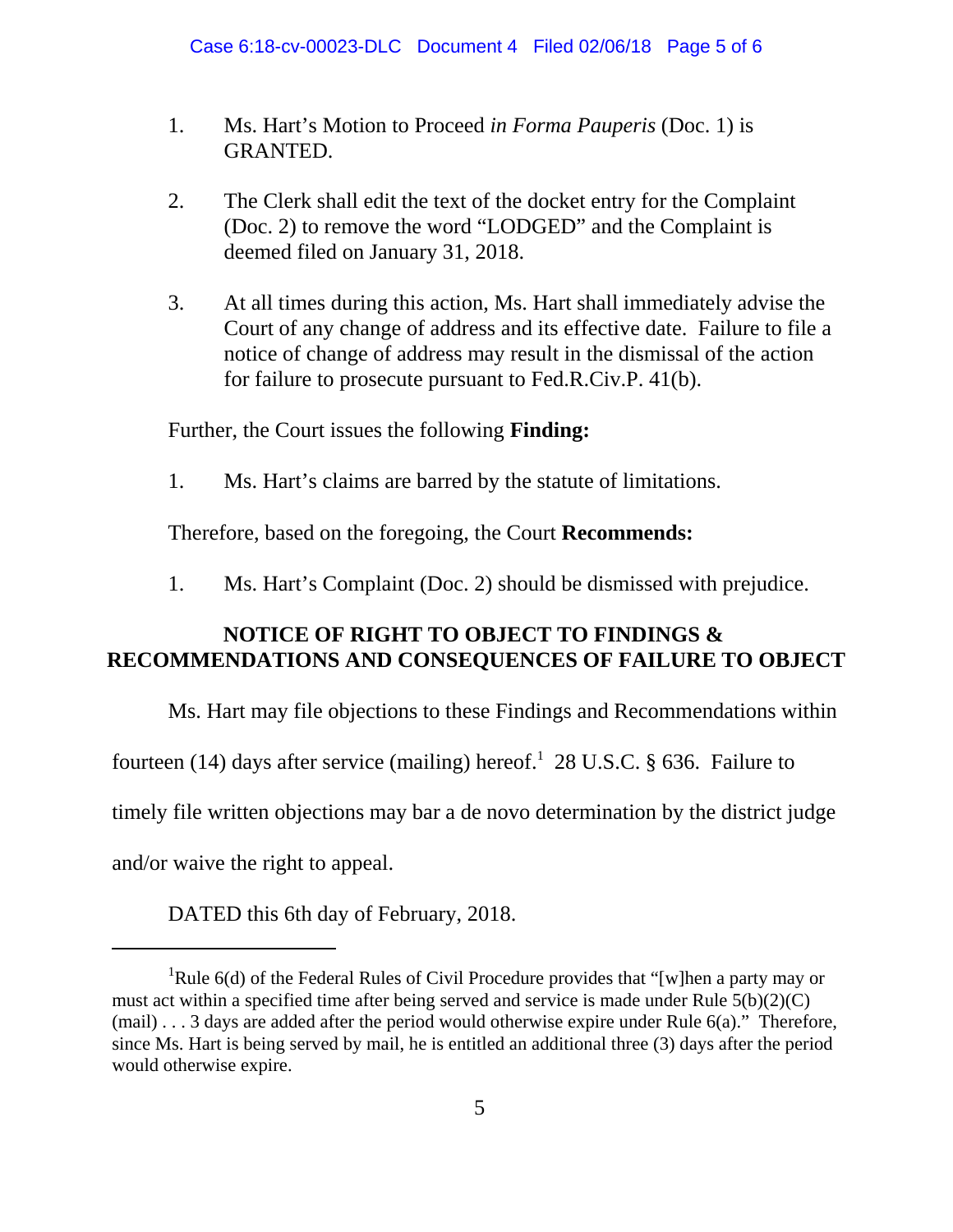- 1. Ms. Hart's Motion to Proceed *in Forma Pauperis* (Doc. 1) is GRANTED.
- 2. The Clerk shall edit the text of the docket entry for the Complaint (Doc. 2) to remove the word "LODGED" and the Complaint is deemed filed on January 31, 2018.
- 3. At all times during this action, Ms. Hart shall immediately advise the Court of any change of address and its effective date. Failure to file a notice of change of address may result in the dismissal of the action for failure to prosecute pursuant to Fed.R.Civ.P. 41(b).

Further, the Court issues the following **Finding:**

1. Ms. Hart's claims are barred by the statute of limitations.

Therefore, based on the foregoing, the Court **Recommends:**

1. Ms. Hart's Complaint (Doc. 2) should be dismissed with prejudice.

# **NOTICE OF RIGHT TO OBJECT TO FINDINGS & RECOMMENDATIONS AND CONSEQUENCES OF FAILURE TO OBJECT**

Ms. Hart may file objections to these Findings and Recommendations within

fourteen (14) days after service (mailing) hereof.<sup>1</sup> 28 U.S.C. § 636. Failure to

timely file written objections may bar a de novo determination by the district judge

and/or waive the right to appeal.

DATED this 6th day of February, 2018.

<sup>&</sup>lt;sup>1</sup>Rule 6(d) of the Federal Rules of Civil Procedure provides that "[w]hen a party may or must act within a specified time after being served and service is made under Rule 5(b)(2)(C) (mail) . . . 3 days are added after the period would otherwise expire under Rule 6(a)." Therefore, since Ms. Hart is being served by mail, he is entitled an additional three (3) days after the period would otherwise expire.